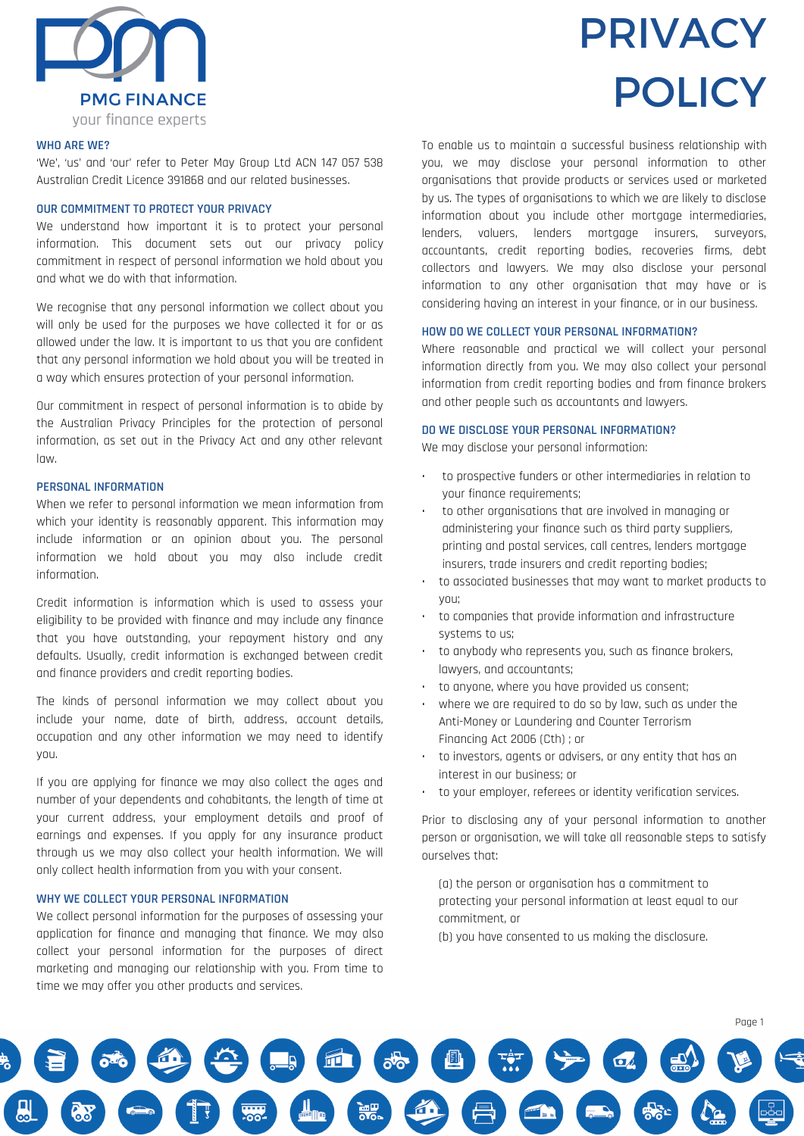

## **WHO ARE WE?**

'We', 'us' and 'our' refer to Peter May Group Ltd ACN 147 057 538 Australian Credit Licence 391868 and our related businesses.

#### **OUR COMMITMENT TO PROTECT YOUR PRIVACY**

We understand how important it is to protect your personal information. This document sets out our privacy policy commitment in respect of personal information we hold about you and what we do with that information.

We recognise that any personal information we collect about you will only be used for the purposes we have collected it for or as allowed under the law. It is important to us that you are confident that any personal information we hold about you will be treated in a way which ensures protection of your personal information.

Our commitment in respect of personal information is to abide by the Australian Privacy Principles for the protection of personal information, as set out in the Privacy Act and any other relevant law.

# **PERSONAL INFORMATION**

When we refer to personal information we mean information from which your identity is reasonably apparent. This information may include information or an opinion about you. The personal information we hold about you may also include credit information.

Credit information is information which is used to assess your eligibility to be provided with finance and may include any finance that you have outstanding, your repayment history and any defaults. Usually, credit information is exchanged between credit and finance providers and credit reporting bodies.

The kinds of personal information we may collect about you include your name, date of birth, address, account details, occupation and any other information we may need to identify you.

If you are applying for finance we may also collect the ages and number of your dependents and cohabitants, the length of time at your current address, your employment details and proof of earnings and expenses. If you apply for any insurance product through us we may also collect your health information. We will only collect health information from you with your consent.

# **WHY WE COLLECT YOUR PERSONAL INFORMATION**

We collect personal information for the purposes of assessing your application for finance and managing that finance. We may also collect your personal information for the purposes of direct marketing and managing our relationship with you. From time to time we may offer you other products and services.

# PRIVACY POLICY

To enable us to maintain a successful business relationship with you, we may disclose your personal information to other organisations that provide products or services used or marketed by us. The types of organisations to which we are likely to disclose information about you include other mortgage intermediaries, lenders, valuers, lenders mortgage insurers, surveyors, accountants, credit reporting bodies, recoveries firms, debt collectors and lawyers. We may also disclose your personal information to any other organisation that may have or is considering having an interest in your finance, or in our business.

# **HOW DO WE COLLECT YOUR PERSONAL INFORMATION?**

Where reasonable and practical we will collect your personal information directly from you. We may also collect your personal information from credit reporting bodies and from finance brokers and other people such as accountants and lawyers.

#### **DO WE DISCLOSE YOUR PERSONAL INFORMATION?**

We may disclose your personal information:

- to prospective funders or other intermediaries in relation to your finance requirements;
- to other organisations that are involved in managing or administering your finance such as third party suppliers, printing and postal services, call centres, lenders mortgage insurers, trade insurers and credit reporting bodies;
- to associated businesses that may want to market products to you;
- to companies that provide information and infrastructure systems to us;
- to anybody who represents you, such as finance brokers, lawyers, and accountants;
- to anyone, where you have provided us consent;
- where we are required to do so by law, such as under the Anti-Money or Laundering and Counter Terrorism Financing Act 2006 (Cth) ; or
- to investors, agents or advisers, or any entity that has an interest in our business; or
- to your employer, referees or identity verification services.

Prior to disclosing any of your personal information to another person or organisation, we will take all reasonable steps to satisfy ourselves that:

- (a) the person or organisation has a commitment to protecting your personal information at least equal to our commitment, or
- (b) you have consented to us making the disclosure.

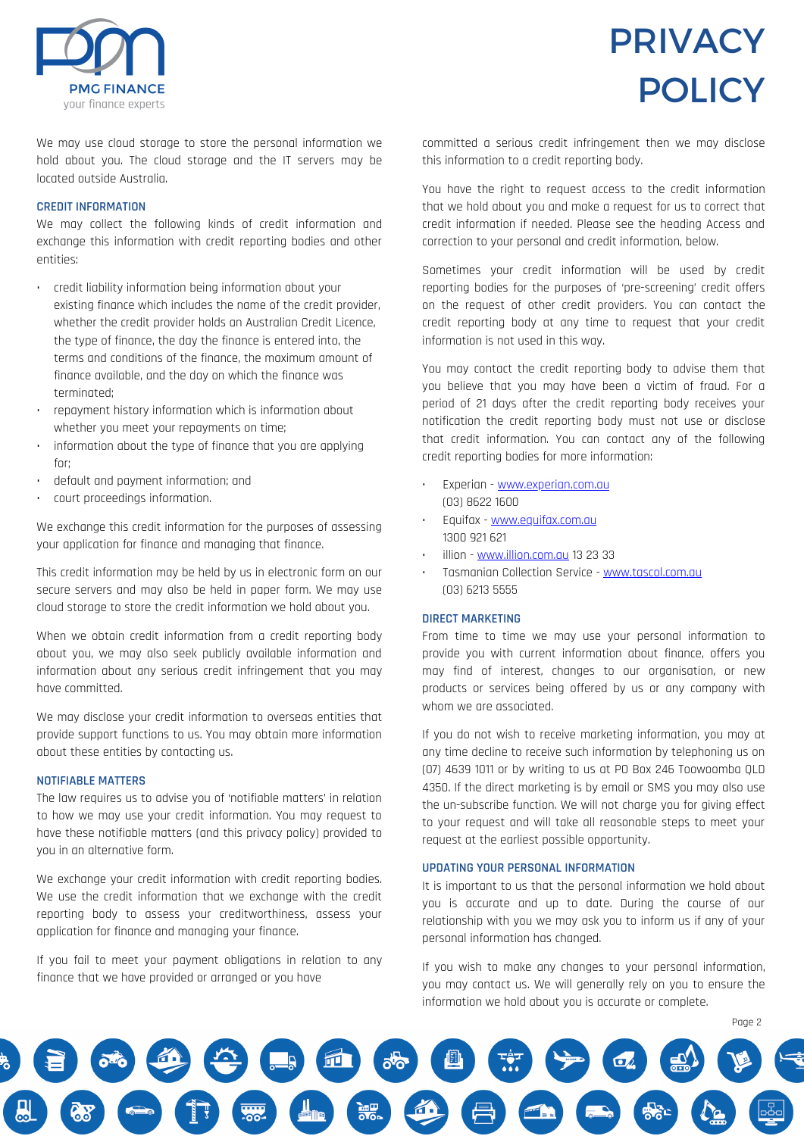

# PRIVACY **POLICY**

We may use cloud storage to store the personal information we hold about you. The cloud storage and the IT servers may be located outside Australia.

# **CREDIT INFORMATION**

We may collect the following kinds of credit information and exchange this information with credit reporting bodies and other entities:

- credit liability information being information about your existing finance which includes the name of the credit provider, whether the credit provider holds an Australian Credit Licence, the type of finance, the day the finance is entered into, the terms and conditions of the finance, the maximum amount of finance available, and the day on which the finance was terminated;
- repayment history information which is information about whether you meet your repayments on time;
- information about the type of finance that you are applying for;
- default and payment information; and
- court proceedings information.

We exchange this credit information for the purposes of assessing your application for finance and managing that finance.

This credit information may be held by us in electronic form on our secure servers and may also be held in paper form. We may use cloud storage to store the credit information we hold about you.

When we obtain credit information from a credit reporting body about you, we may also seek publicly available information and information about any serious credit infringement that you may have committed.

We may disclose your credit information to overseas entities that provide support functions to us. You may obtain more information about these entities by contacting us.

## **NOTIFIABLE MATTERS**

The law requires us to advise you of 'notifiable matters' in relation to how we may use your credit information. You may request to have these notifiable matters (and this privacy policy) provided to you in an alternative form.

We exchange your credit information with credit reporting bodies. We use the credit information that we exchange with the credit reporting body to assess your creditworthiness, assess your application for finance and managing your finance.

If you fail to meet your payment obligations in relation to any finance that we have provided or arranged or you have

committed a serious credit infringement then we may disclose this information to a credit reporting body.

You have the right to request access to the credit information that we hold about you and make a request for us to correct that credit information if needed. Please see the heading Access and correction to your personal and credit information, below.

Sometimes your credit information will be used by credit reporting bodies for the purposes of 'pre-screening' credit offers on the request of other credit providers. You can contact the credit reporting body at any time to request that your credit information is not used in this way.

You may contact the credit reporting body to advise them that you believe that you may have been a victim of fraud. For a period of 21 days after the credit reporting body receives your notification the credit reporting body must not use or disclose that credit information. You can contact any of the following credit reporting bodies for more information:

- Experian [www.experian.com.au](http://www.experian.com.au/) (03) 8622 1600
- Equifax [www.equifax.com.au](http://www.equifax.com.au/) 1300 921 621
- illion [www.illion.com.au](http://www.illion.com.au/) 13 23 33
- Tasmanian Collection Service [www.tascol.com.au](http://www.tascol.com.au/) (03) 6213 5555

# **DIRECT MARKETING**

From time to time we may use your personal information to provide you with current information about finance, offers you may find of interest, changes to our organisation, or new products or services being offered by us or any company with whom we are associated.

If you do not wish to receive marketing information, you may at any time decline to receive such information by telephoning us on (07) 4639 1011 or by writing to us at PO Box 246 Toowoomba QLD 4350. If the direct marketing is by email or SMS you may also use the un-subscribe function. We will not charge you for giving effect to your request and will take all reasonable steps to meet your request at the earliest possible opportunity.

# **UPDATING YOUR PERSONAL INFORMATION**

It is important to us that the personal information we hold about you is accurate and up to date. During the course of our relationship with you we may ask you to inform us if any of your personal information has changed.

If you wish to make any changes to your personal information, you may contact us. We will generally rely on you to ensure the information we hold about you is accurate or complete.